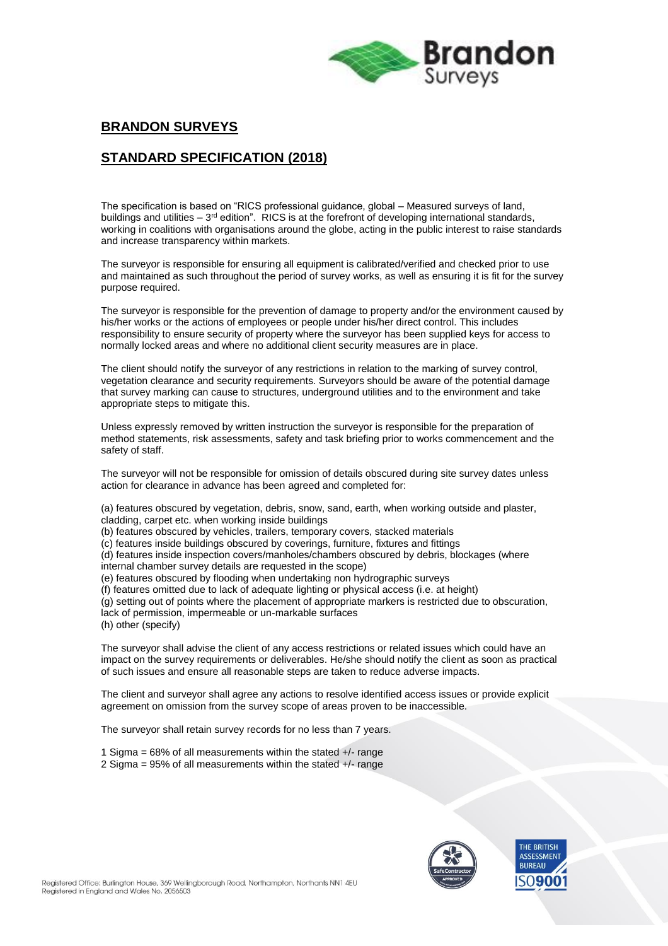

# **BRANDON SURVEYS**

## **STANDARD SPECIFICATION (2018)**

The specification is based on "RICS professional guidance, global – Measured surveys of land, buildings and utilities – 3<sup>rd</sup> edition". RICS is at the forefront of developing international standards, working in coalitions with organisations around the globe, acting in the public interest to raise standards and increase transparency within markets.

The surveyor is responsible for ensuring all equipment is calibrated/verified and checked prior to use and maintained as such throughout the period of survey works, as well as ensuring it is fit for the survey purpose required.

The surveyor is responsible for the prevention of damage to property and/or the environment caused by his/her works or the actions of employees or people under his/her direct control. This includes responsibility to ensure security of property where the surveyor has been supplied keys for access to normally locked areas and where no additional client security measures are in place.

The client should notify the surveyor of any restrictions in relation to the marking of survey control, vegetation clearance and security requirements. Surveyors should be aware of the potential damage that survey marking can cause to structures, underground utilities and to the environment and take appropriate steps to mitigate this.

Unless expressly removed by written instruction the surveyor is responsible for the preparation of method statements, risk assessments, safety and task briefing prior to works commencement and the safety of staff.

The surveyor will not be responsible for omission of details obscured during site survey dates unless action for clearance in advance has been agreed and completed for:

(a) features obscured by vegetation, debris, snow, sand, earth, when working outside and plaster, cladding, carpet etc. when working inside buildings

- (b) features obscured by vehicles, trailers, temporary covers, stacked materials
- (c) features inside buildings obscured by coverings, furniture, fixtures and fittings

(d) features inside inspection covers/manholes/chambers obscured by debris, blockages (where internal chamber survey details are requested in the scope)

- (e) features obscured by flooding when undertaking non hydrographic surveys
- (f) features omitted due to lack of adequate lighting or physical access (i.e. at height)

(g) setting out of points where the placement of appropriate markers is restricted due to obscuration, lack of permission, impermeable or un-markable surfaces (h) other (specify)

The surveyor shall advise the client of any access restrictions or related issues which could have an impact on the survey requirements or deliverables. He/she should notify the client as soon as practical of such issues and ensure all reasonable steps are taken to reduce adverse impacts.

The client and surveyor shall agree any actions to resolve identified access issues or provide explicit agreement on omission from the survey scope of areas proven to be inaccessible.

The surveyor shall retain survey records for no less than 7 years.

- 1 Sigma = 68% of all measurements within the stated +/- range
- 2 Sigma = 95% of all measurements within the stated +/- range

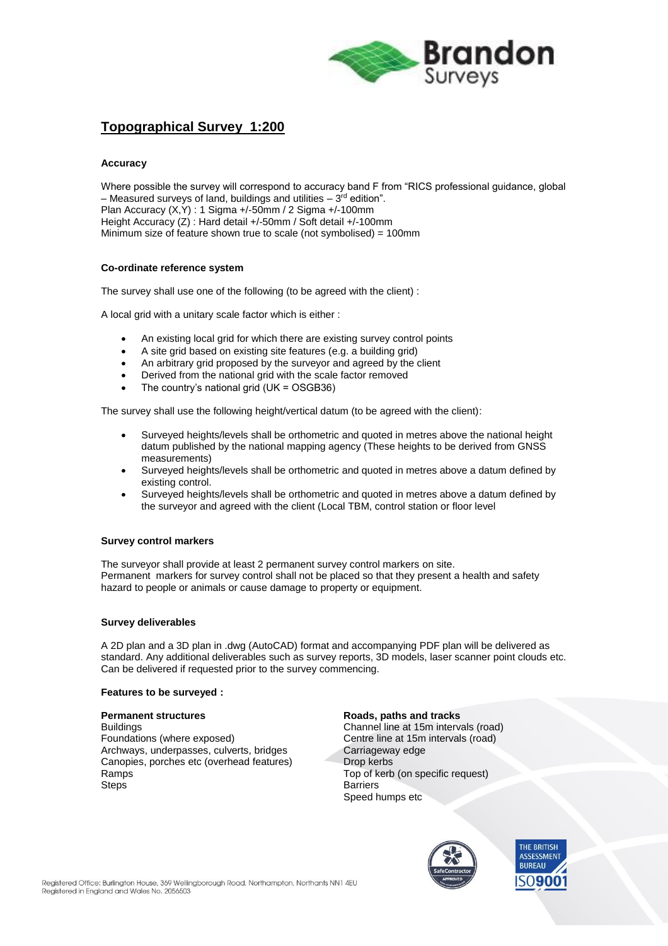

# **Topographical Survey 1:200**

### **Accuracy**

Where possible the survey will correspond to accuracy band F from "RICS professional guidance, global – Measured surveys of land, buildings and utilities – 3<sup>rd</sup> edition". Plan Accuracy (X,Y) : 1 Sigma +/-50mm / 2 Sigma +/-100mm Height Accuracy (Z) : Hard detail +/-50mm / Soft detail +/-100mm Minimum size of feature shown true to scale (not symbolised) = 100mm

### **Co-ordinate reference system**

The survey shall use one of the following (to be agreed with the client) :

A local grid with a unitary scale factor which is either :

- An existing local grid for which there are existing survey control points
- A site grid based on existing site features (e.g. a building grid)
- An arbitrary grid proposed by the surveyor and agreed by the client
- Derived from the national grid with the scale factor removed
- The country's national grid (UK = OSGB36)

The survey shall use the following height/vertical datum (to be agreed with the client):

- Surveyed heights/levels shall be orthometric and quoted in metres above the national height datum published by the national mapping agency (These heights to be derived from GNSS measurements)
- Surveyed heights/levels shall be orthometric and quoted in metres above a datum defined by existing control.
- Surveyed heights/levels shall be orthometric and quoted in metres above a datum defined by the surveyor and agreed with the client (Local TBM, control station or floor level

### **Survey control markers**

The surveyor shall provide at least 2 permanent survey control markers on site. Permanent markers for survey control shall not be placed so that they present a health and safety hazard to people or animals or cause damage to property or equipment.

#### **Survey deliverables**

A 2D plan and a 3D plan in .dwg (AutoCAD) format and accompanying PDF plan will be delivered as standard. Any additional deliverables such as survey reports, 3D models, laser scanner point clouds etc. Can be delivered if requested prior to the survey commencing.

#### **Features to be surveyed :**

Foundations (where exposed) Centre line at 15m intervals (road) Archways, underpasses, culverts, bridges Carriageway edge Canopies, porches etc (overhead features) Drop kerbs Ramps Top of kerb (on specific request)<br>Steps Barriers

### **Permanent structures Roads**, paths and tracks

Buildings Channel line at 15m intervals (road) **Barriers** Speed humps etc



THE RRITISH **ASSESSMENT BUREAU** ۹n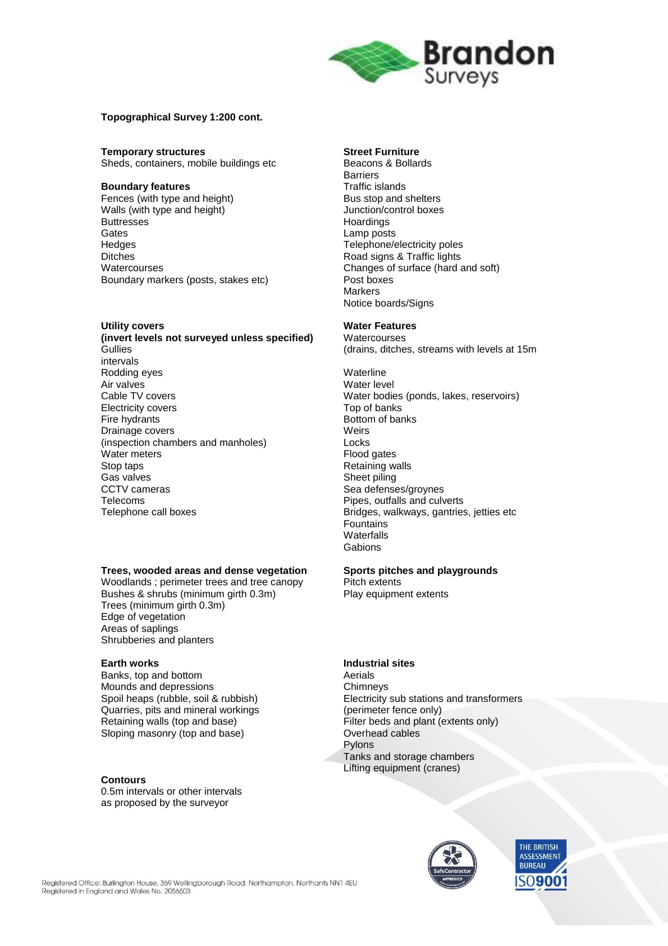

### **Topographical Survey 1:200 cont.**

**Temporary structures**<br> **Street Furniture**<br> **Sheds, containers, mobile buildings etc**<br> **Sheds, Sheds, Containers, Mobile buildings etc** Sheds, containers, mobile buildings etc

**Boundary features**<br> **Boundary features**<br> **Bus stop and shelters**<br> **Bus stop and shelters** Fences (with type and height) Walls (with type and height) **Junction/control boxes**<br>Buttresses **Buttesses** Buttresses Hoardings (and the Hoardings Cates Hoardings Cates 1999) and the Manual Media and the Manual Media of the Manual Media and the Manual Media and the Manual Media and the Manual Media and the Manual Media and the Gates Lamp posts Hedges Telephone/electricity poles<br>Ditches Ditches Telephone Road signs & Traffic lights Boundary markers (posts, stakes etc)

**Utility covers**<br> **(invert levels not surveyed unless specified)** Watercourses **(invert levels not surveyed unless specified)**<br>Gullies intervals Rodding eyes **Waterline** Air valves and the set of the set of the Mater level of the Vater level of the Vater level of the Vater bodie<br>
Water bodie Electricity covers<br>Fire hydrants Drainage covers<br>(inspection chambers and manholes) (inspection chambers and manholes) (inspection chambers and manholes) Locks Water meters Stop taps **Retaining walls**<br>
Gas valves **Retaining walls** Gas valves and the state of the Sheet piling CCTV cameras and the Sea of the Sea defense Telecoms Telecoms **Pipes**, outfalls and culverts<br>Telephone call boxes **Pipes**, outfalls and culverts

# **Trees, wooded areas and dense vegetation Sports pitches and playgrounds**

Woodlands ; perimeter trees and tree canopy Bushes & shrubs (minimum girth 0.3m) Play equipment extents Trees (minimum girth 0.3m) Edge of vegetation Areas of saplings Shrubberies and planters

Banks, top and bottom **Aerials** Mounds and depressions example and depressions of the Chimneys<br>
Spoil heaps (rubble, soil & rubbish) Electricity Quarries, pits and mineral workings (perimeter fence only) Retaining walls (top and base) Filter beds and plant (extents only)<br>Sloping masonry (top and base) Coverhead cables Sloping masonry (top and base)

### **Contours**

0.5m intervals or other intervals as proposed by the surveyor

Barriers<br>Traffic islands Road signs & Traffic lights Watercourses<br>
Boundary markers (posts, stakes etc)<br>
Post boxes<br>
Post boxes **Markers** Notice boards/Signs

(drains, ditches, streams with levels at 15m

Water bodies (ponds, lakes, reservoirs)<br>Top of banks Bottom of banks Sea defenses/groynes Bridges, walkways, gantries, jetties etc **Fountains Waterfalls Gabions** 

### **Earth works Industrial sites**

Electricity sub stations and transformers Pylons Tanks and storage chambers Lifting equipment (cranes)

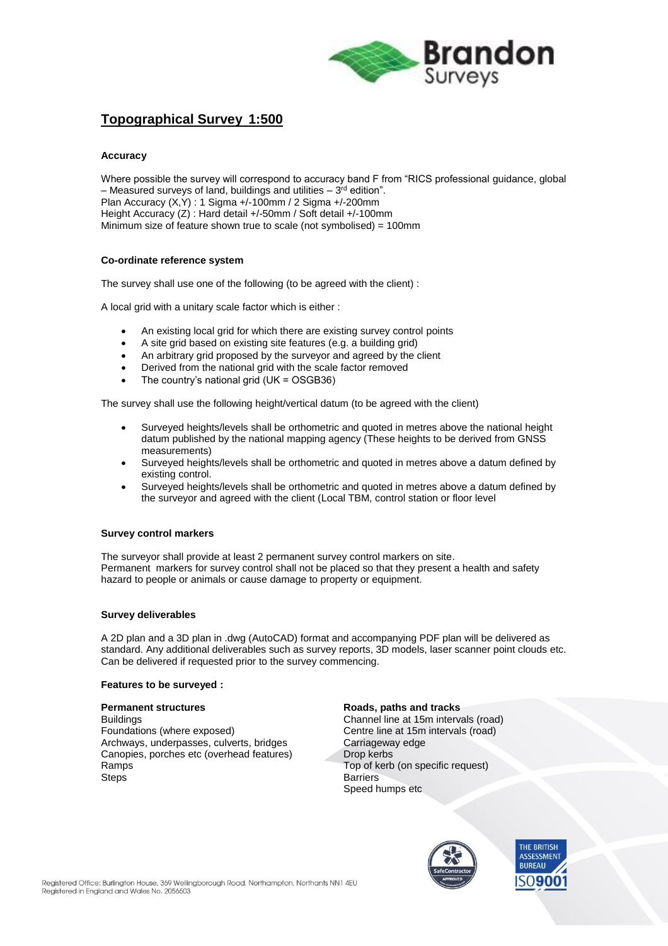

## **Topographical Survey 1:500**

### **Accuracy**

Where possible the survey will correspond to accuracy band F from "RICS professional guidance, global – Measured surveys of land, buildings and utilities – 3<sup>rd</sup> edition". Plan Accuracy (X,Y) : 1 Sigma +/-100mm / 2 Sigma +/-200mm Height Accuracy (Z) : Hard detail +/-50mm / Soft detail +/-100mm Minimum size of feature shown true to scale (not symbolised) = 100mm

### **Co-ordinate reference system**

The survey shall use one of the following (to be agreed with the client) :

A local grid with a unitary scale factor which is either :

- An existing local grid for which there are existing survey control points
- A site grid based on existing site features (e.g. a building grid)
- An arbitrary grid proposed by the surveyor and agreed by the client
- Derived from the national grid with the scale factor removed
- The country's national grid (UK = OSGB36)

The survey shall use the following height/vertical datum (to be agreed with the client)

- Surveyed heights/levels shall be orthometric and quoted in metres above the national height datum published by the national mapping agency (These heights to be derived from GNSS measurements)
- Surveyed heights/levels shall be orthometric and quoted in metres above a datum defined by existing control.
- Surveyed heights/levels shall be orthometric and quoted in metres above a datum defined by the surveyor and agreed with the client (Local TBM, control station or floor level

### **Survey control markers**

The surveyor shall provide at least 2 permanent survey control markers on site. Permanent markers for survey control shall not be placed so that they present a health and safety hazard to people or animals or cause damage to property or equipment.

### **Survey deliverables**

A 2D plan and a 3D plan in .dwg (AutoCAD) format and accompanying PDF plan will be delivered as standard. Any additional deliverables such as survey reports, 3D models, laser scanner point clouds etc. Can be delivered if requested prior to the survey commencing.

### **Features to be surveyed :**

**Permanent structures Roads**, paths and tracks Buildings Channel line at 15m intervals (road) Foundations (where exposed) Centre line at 15m intervals (road) Archways, underpasses, culverts, bridges Carriageway edge<br>
Canopies, porches etc (overhead features) Drop kerbs Canopies, porches etc (overhead features) Ramps Top of kerb (on specific request) Steps **Barriers** 

Speed humps etc



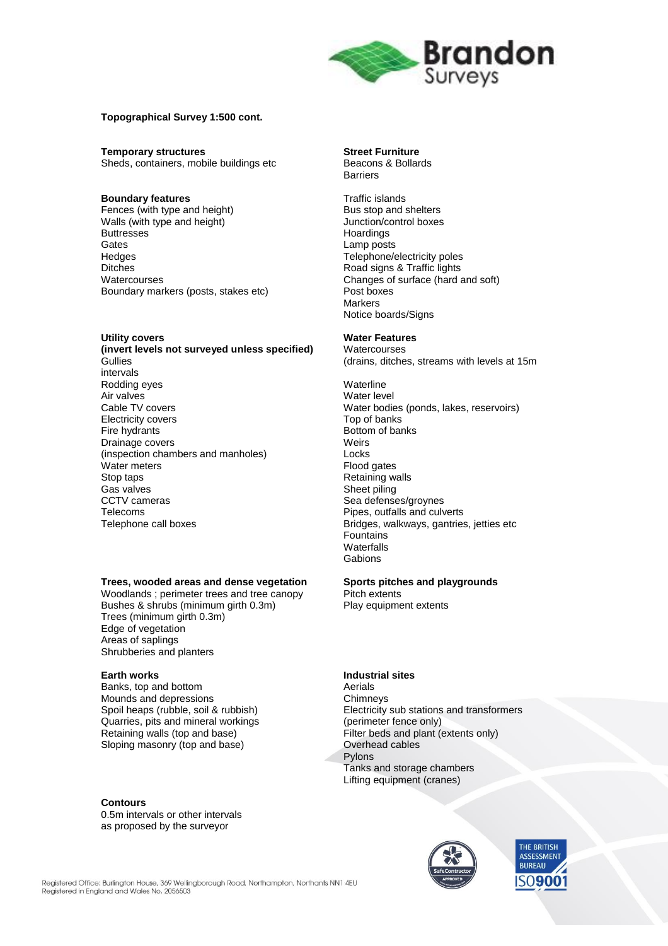

### **Topographical Survey 1:500 cont.**

**Temporary structures Street Furniture** Sheds, containers, mobile buildings etc Beacons & Bollards

#### **Boundary features** Traffic islands

Fences (with type and height) Bus stop and shelters<br>
Walls (with type and height) Bus stop and shelters<br>
Unction/control boxes Walls (with type and height)<br>Buttresses Gates Lamp posts Hedges Telephone/electricity poles<br>
Ditches Ditches Telephone Road signs & Traffic lights Ditches **Discusses Discusses Road signs & Traffic lights Watercourses Road signs & Traffic lights Watercourses** Boundary markers (posts, stakes etc)

**Utility covers Water Features (invert levels not surveyed unless specified)**<br>Gullies intervals Rodding eyes **Waterline** Air valves<br>
Cable TV covers<br>
Cable TV covers Electricity covers Fire hydrants **Bottom of banks**<br>
Drainage covers Drainage covers<br>(inspection chambers and manholes) [198] Locks (inspection chambers and manholes) Locks Water meters<br>Stop taps Stop taps **Retaining walls**<br>
Gas valves **Retaining walls** CCTV cameras Sea defenses/groynes<br>
Telecoms Telecoms Sea defenses/groynes<br>
Pipes. outfalls and culv Telecoms Telecoms and boxes and culverts and culverts Pipes, outfalls and culverts<br>Telephone call boxes Telecom Bridges, walkways, gantries

#### **Trees, wooded areas and dense vegetation Sports pitches and playgrounds**

Woodlands ; perimeter trees and tree canopy Pitch extents Bushes & shrubs (minimum girth 0.3m) Play equipment extents Trees (minimum girth 0.3m) Edge of vegetation Areas of saplings Shrubberies and planters

Banks, top and bottom entity and the Mounds and depressions and the Aerials Chimneys Mounds and depressions<br>Spoil heaps (rubble, soil & rubbish) Quarries, pits and mineral workings (perimeter fence only) Retaining walls (top and base) Filter beds and plant (extents only)<br>Sloping masonry (top and base) Coverhead cables Sloping masonry (top and base)

#### **Contours**

0.5m intervals or other intervals as proposed by the surveyor

**Barriers** 

Hoardings Changes of surface (hard and soft)<br>Post boxes **Markers** Notice boards/Signs

(drains, ditches, streams with levels at 15m

Water bodies (ponds, lakes, reservoirs)<br>Top of banks Sheet piling Bridges, walkways, gantries, jetties etc Fountains **Waterfalls** Gabions

### **Earth works Industrial sites**

Electricity sub stations and transformers Pylons Tanks and storage chambers Lifting equipment (cranes)



THE RRITISH **ASSESSMENT BUREAU** ۹N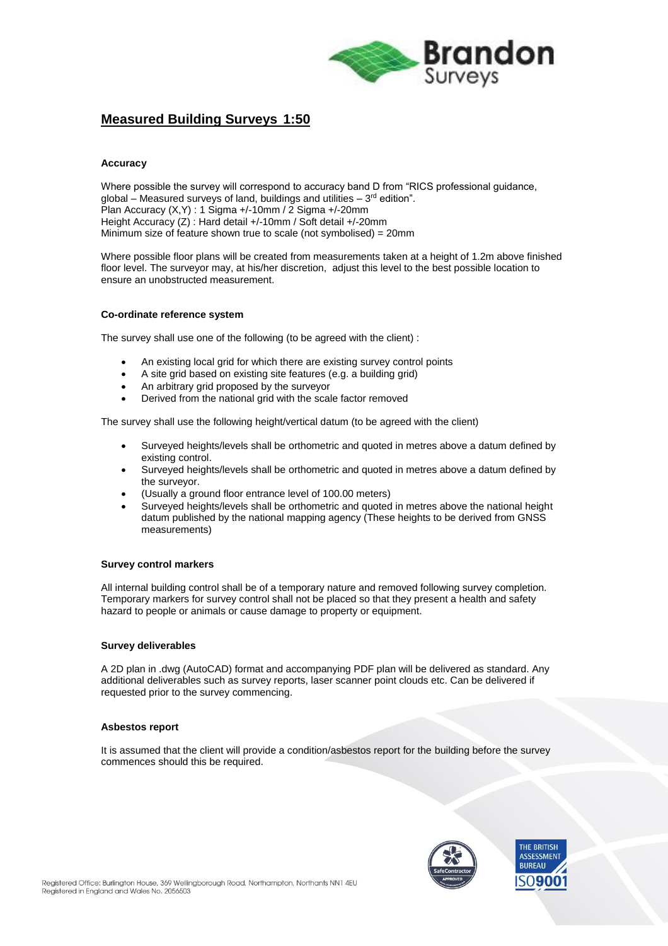

## **Measured Building Surveys 1:50**

### **Accuracy**

Where possible the survey will correspond to accuracy band D from "RICS professional guidance, global – Measured surveys of land, buildings and utilities – 3<sup>rd</sup> edition". Plan Accuracy (X,Y) : 1 Sigma +/-10mm / 2 Sigma +/-20mm Height Accuracy (Z) : Hard detail +/-10mm / Soft detail +/-20mm Minimum size of feature shown true to scale (not symbolised) = 20mm

Where possible floor plans will be created from measurements taken at a height of 1.2m above finished floor level. The surveyor may, at his/her discretion, adjust this level to the best possible location to ensure an unobstructed measurement.

### **Co-ordinate reference system**

The survey shall use one of the following (to be agreed with the client) :

- An existing local grid for which there are existing survey control points
- A site grid based on existing site features (e.g. a building grid)
- An arbitrary grid proposed by the surveyor
- Derived from the national grid with the scale factor removed

The survey shall use the following height/vertical datum (to be agreed with the client)

- Surveyed heights/levels shall be orthometric and quoted in metres above a datum defined by existing control.
- Surveyed heights/levels shall be orthometric and quoted in metres above a datum defined by the surveyor.
- (Usually a ground floor entrance level of 100.00 meters)
- Surveyed heights/levels shall be orthometric and quoted in metres above the national height datum published by the national mapping agency (These heights to be derived from GNSS measurements)

### **Survey control markers**

All internal building control shall be of a temporary nature and removed following survey completion. Temporary markers for survey control shall not be placed so that they present a health and safety hazard to people or animals or cause damage to property or equipment.

### **Survey deliverables**

A 2D plan in .dwg (AutoCAD) format and accompanying PDF plan will be delivered as standard. Any additional deliverables such as survey reports, laser scanner point clouds etc. Can be delivered if requested prior to the survey commencing.

### **Asbestos report**

It is assumed that the client will provide a condition/asbestos report for the building before the survey commences should this be required.

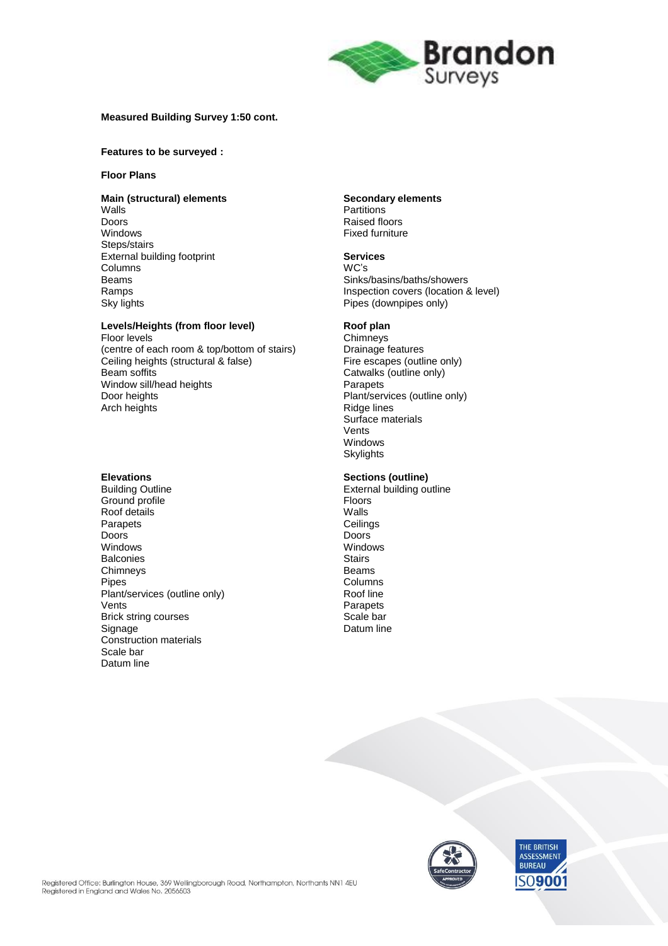

### **Measured Building Survey 1:50 cont.**

#### **Features to be surveyed :**

### **Floor Plans**

### **Main (structural) elements Secondary elements**

Walls **Manual Community Community** Partitions **Partitions**<br>
Doors Doors Raised floors Steps/stairs External building footprint **Services** Columns<br>Beams

# **Levels/Heights (from floor level) <br>Floor levels Chimneys**

Floor levels<br>
(centre of each room & top/bottom of stairs) Chimneys<br>
Drainage features (centre of each room & top/bottom of stairs) Drainage features<br>Ceiling heights (structural & false) Fire escapes (outline only) Ceiling heights (structural & false)<br>Beam soffits Window sill/head heights **Parapets**<br>
Door heights Plant/server Arch heights

Ground profile and the set of the Second Ploors<br>
Roof details and the Second Walls Roof details Walls Walls<br>
Parapets Ceilings Constantings Parapets Ceiling<br>Doors Communications Ceilings Doors Doors Windows Windows Balconies Stairs Stairs<br>Chimneys Stairs Schwarzen Stairs Stairs<br>Beams Chimneys<br>Pipes Plant/services (outline only) Vents Parapets Brick string courses Scale bar<br>Signage Suppose Scale bar<br>Datum line Construction materials Scale bar Datum line

**Fixed furniture** 

Beams Sinks/basins/baths/showers Ramps **Inspection covers (location & level)**<br>
Sky lights **Inspection Covers (location & level)**<br>
Pipes (downpipes only) Pipes (downpipes only)

Catwalks (outline only) Plant/services (outline only)<br>Ridge lines Surface materials Vents Windows **Skylights** 

# **Elevations Sections (outline)**

**External building outline** Columns<br>Roof line Datum line



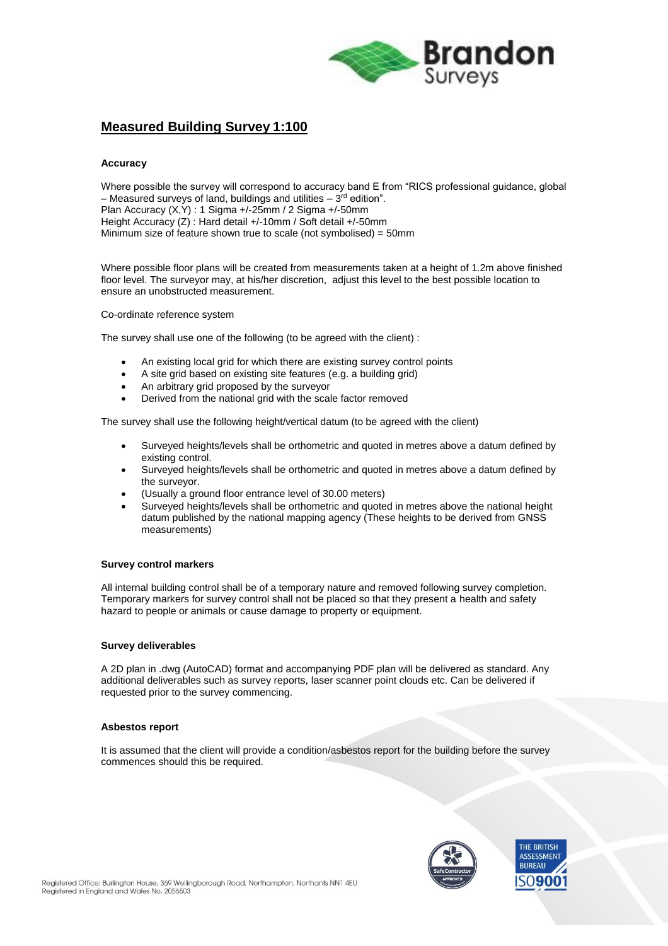

# **Measured Building Survey 1:100**

### **Accuracy**

Where possible the survey will correspond to accuracy band E from "RICS professional guidance, global – Measured surveys of land, buildings and utilities – 3<sup>rd</sup> edition". Plan Accuracy (X,Y) : 1 Sigma +/-25mm / 2 Sigma +/-50mm Height Accuracy (Z) : Hard detail +/-10mm / Soft detail +/-50mm Minimum size of feature shown true to scale (not symbolised) = 50mm

Where possible floor plans will be created from measurements taken at a height of 1.2m above finished floor level. The surveyor may, at his/her discretion, adjust this level to the best possible location to ensure an unobstructed measurement.

Co-ordinate reference system

The survey shall use one of the following (to be agreed with the client) :

- An existing local grid for which there are existing survey control points
- A site grid based on existing site features (e.g. a building grid)
- An arbitrary grid proposed by the surveyor
- Derived from the national grid with the scale factor removed

The survey shall use the following height/vertical datum (to be agreed with the client)

- Surveyed heights/levels shall be orthometric and quoted in metres above a datum defined by existing control.
- Surveyed heights/levels shall be orthometric and quoted in metres above a datum defined by the surveyor.
- (Usually a ground floor entrance level of 30.00 meters)
- Surveyed heights/levels shall be orthometric and quoted in metres above the national height datum published by the national mapping agency (These heights to be derived from GNSS measurements)

### **Survey control markers**

All internal building control shall be of a temporary nature and removed following survey completion. Temporary markers for survey control shall not be placed so that they present a health and safety hazard to people or animals or cause damage to property or equipment.

### **Survey deliverables**

A 2D plan in .dwg (AutoCAD) format and accompanying PDF plan will be delivered as standard. Any additional deliverables such as survey reports, laser scanner point clouds etc. Can be delivered if requested prior to the survey commencing.

### **Asbestos report**

It is assumed that the client will provide a condition/asbestos report for the building before the survey commences should this be required.

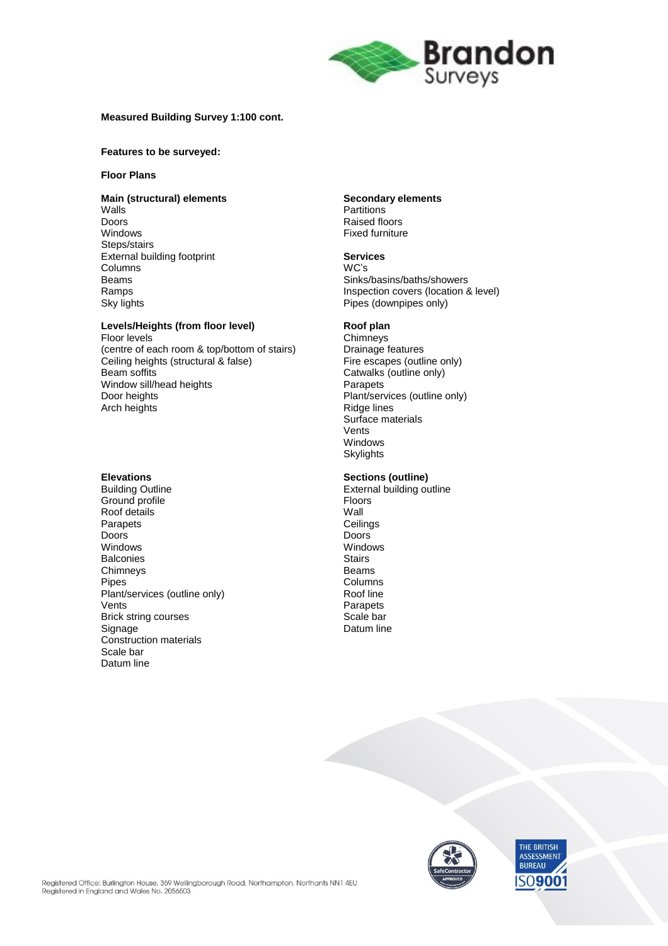

### **Measured Building Survey 1:100 cont.**

#### **Features to be surveyed:**

### **Floor Plans**

### **Main (structural) elements Secondary elements**

Walls **Manual Community Community** Partitions **Partitions**<br>
Doors Doors Raised floors Steps/stairs External building footprint **Services** Columns<br>Beams

# **Levels/Heights (from floor level) <br>Floor levels Chimneys**

Floor levels<br>
(centre of each room & top/bottom of stairs) Chimneys<br>
Drainage features (centre of each room & top/bottom of stairs) Drainage features<br>Ceiling heights (structural & false) Fire escapes (outline only) Ceiling heights (structural & false)<br>Beam soffits Window sill/head heights **Parapets**<br>
Door heights Plant/server Arch heights

Ground profile and the set of the Second Ploors<br>
Roof details and the Second Wall Roof details Wall Parapets Ceiling<br>Doors Communications Ceilings Doors Doors Windows Windows Balconies Stairs Stairs<br>Chimneys Stairs Schwarzen Stairs Stairs<br>Beams Chimneys<br>Pipes Plant/services (outline only) Vents Parapets Brick string courses Scale bar<br>Signage Suppose Scale bar<br>Datum line Construction materials Scale bar Datum line

**Fixed furniture** 

Beams Sinks/basins/baths/showers Ramps **Inspection covers (location & level)**<br>
Sky lights **Inspection Covers (location & level)**<br>
Pipes (downpipes only) Pipes (downpipes only)

Catwalks (outline only) Plant/services (outline only)<br>Ridge lines Surface materials Vents Windows **Skylights** 

# **Elevations Sections (outline)**

**External building outline** Columns<br>Roof line Datum line



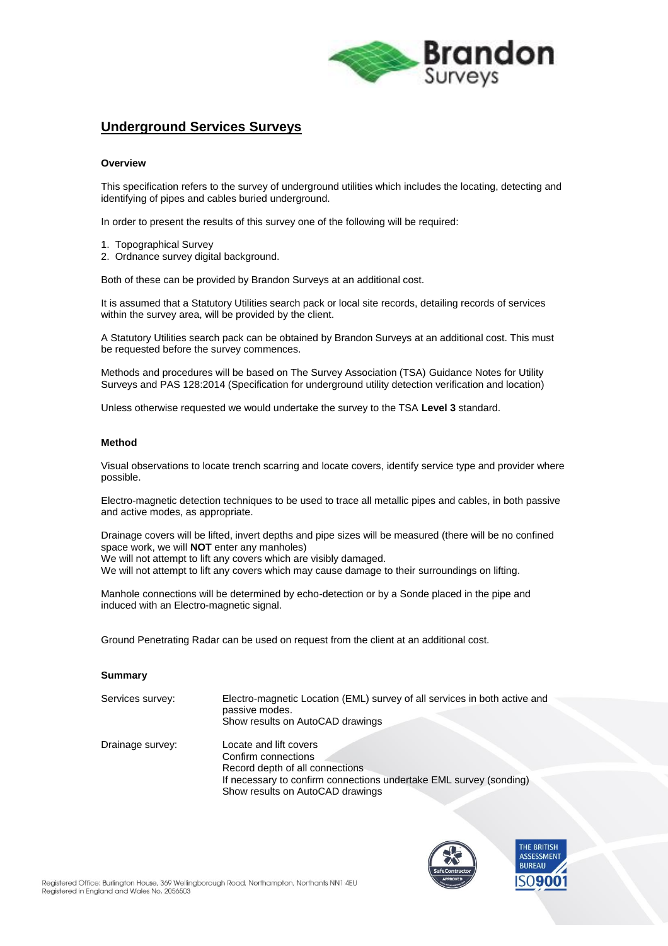

## **Underground Services Surveys**

### **Overview**

This specification refers to the survey of underground utilities which includes the locating, detecting and identifying of pipes and cables buried underground.

In order to present the results of this survey one of the following will be required:

- 1. Topographical Survey
- 2. Ordnance survey digital background.

Both of these can be provided by Brandon Surveys at an additional cost.

It is assumed that a Statutory Utilities search pack or local site records, detailing records of services within the survey area, will be provided by the client.

A Statutory Utilities search pack can be obtained by Brandon Surveys at an additional cost. This must be requested before the survey commences.

Methods and procedures will be based on The Survey Association (TSA) Guidance Notes for Utility Surveys and PAS 128:2014 (Specification for underground utility detection verification and location)

Unless otherwise requested we would undertake the survey to the TSA **Level 3** standard.

### **Method**

Visual observations to locate trench scarring and locate covers, identify service type and provider where possible.

Electro-magnetic detection techniques to be used to trace all metallic pipes and cables, in both passive and active modes, as appropriate.

Drainage covers will be lifted, invert depths and pipe sizes will be measured (there will be no confined space work, we will **NOT** enter any manholes) We will not attempt to lift any covers which are visibly damaged.

We will not attempt to lift any covers which may cause damage to their surroundings on lifting.

Manhole connections will be determined by echo-detection or by a Sonde placed in the pipe and induced with an Electro-magnetic signal.

Ground Penetrating Radar can be used on request from the client at an additional cost.

#### **Summary**

| Services survey: | Electro-magnetic Location (EML) survey of all services in both active and<br>passive modes.<br>Show results on AutoCAD drawings                                                            |
|------------------|--------------------------------------------------------------------------------------------------------------------------------------------------------------------------------------------|
| Drainage survey: | Locate and lift covers<br>Confirm connections<br>Record depth of all connections<br>If necessary to confirm connections undertake EML survey (sonding)<br>Show results on AutoCAD drawings |